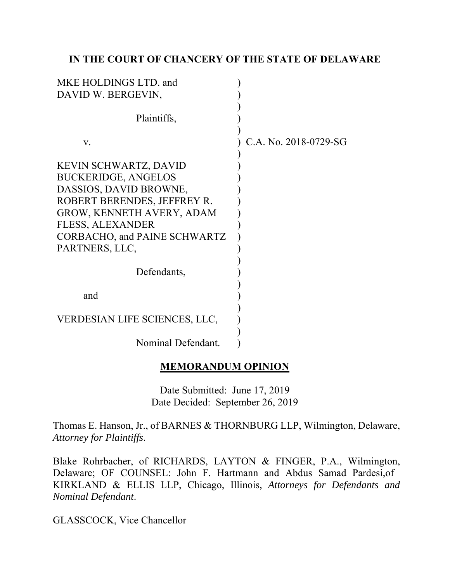## IN THE COURT OF CHANCERY OF THE STATE OF DELAWARE

| MKE HOLDINGS LTD. and<br>DAVID W. BERGEVIN,                                                                                                                                                                                                  |                       |
|----------------------------------------------------------------------------------------------------------------------------------------------------------------------------------------------------------------------------------------------|-----------------------|
| Plaintiffs,                                                                                                                                                                                                                                  |                       |
| V.                                                                                                                                                                                                                                           | C.A. No. 2018-0729-SG |
| KEVIN SCHWARTZ, DAVID<br><b>BUCKERIDGE, ANGELOS</b><br>DASSIOS, DAVID BROWNE,<br>ROBERT BERENDES, JEFFREY R.<br><b>GROW, KENNETH AVERY, ADAM</b><br><b>FLESS, ALEXANDER</b><br>CORBACHO, and PAINE SCHWARTZ<br>PARTNERS, LLC,<br>Defendants, |                       |
| and                                                                                                                                                                                                                                          |                       |
| VERDESIAN LIFE SCIENCES, LLC,                                                                                                                                                                                                                |                       |
| Nominal Defendant.                                                                                                                                                                                                                           |                       |

## MEMORANDUM OPINION

Date Submitted: June 17, 2019 Date Decided: September 26, 2019

Thomas E. Hanson, Jr., of BARNES & THORNBURG LLP, Wilmington, Delaware, *Attorney for Plaintiffs*.

Blake Rohrbacher, of RICHARDS, LAYTON & FINGER, P.A., Wilmington, Delaware; OF COUNSEL: John F. Hartmann and Abdus Samad Pardesi,of KIRKLAND & ELLIS LLP, Chicago, Illinois, *Attorneys for Defendants and Nominal Defendant*.

GLASSCOCK, Vice Chancellor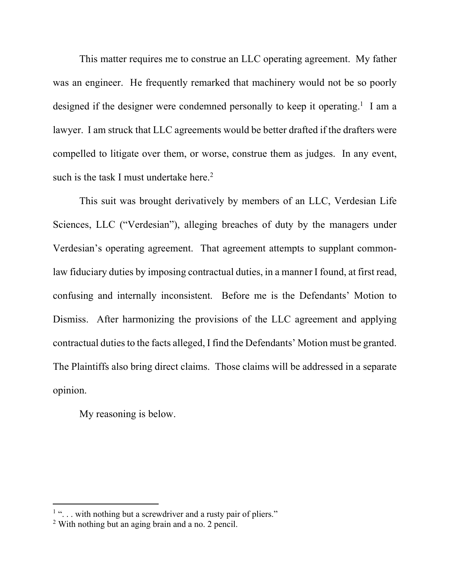This matter requires me to construe an LLC operating agreement. My father was an engineer. He frequently remarked that machinery would not be so poorly designed if the designer were condemned personally to keep it operating.<sup>1</sup> I am a lawyer. I am struck that LLC agreements would be better drafted if the drafters were compelled to litigate over them, or worse, construe them as judges. In any event, such is the task I must undertake here.<sup>2</sup>

This suit was brought derivatively by members of an LLC, Verdesian Life Sciences, LLC ("Verdesian"), alleging breaches of duty by the managers under Verdesian's operating agreement. That agreement attempts to supplant commonlaw fiduciary duties by imposing contractual duties, in a manner I found, at first read, confusing and internally inconsistent. Before me is the Defendants' Motion to Dismiss. After harmonizing the provisions of the LLC agreement and applying contractual duties to the facts alleged, I find the Defendants' Motion must be granted. The Plaintiffs also bring direct claims. Those claims will be addressed in a separate opinion.

My reasoning is below.

<sup>&</sup>lt;sup>1</sup> "... with nothing but a screwdriver and a rusty pair of pliers."

<sup>2</sup> With nothing but an aging brain and a no. 2 pencil.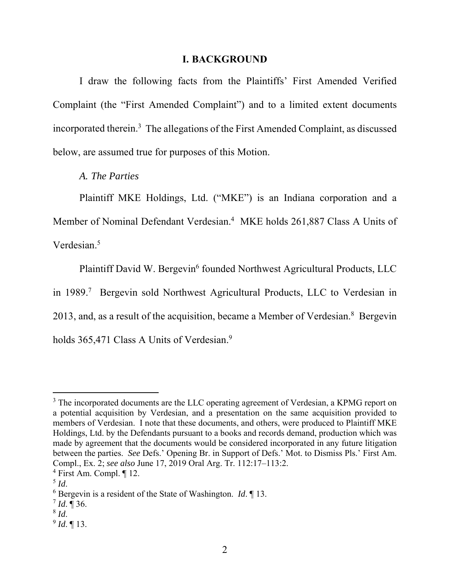#### I. BACKGROUND

I draw the following facts from the Plaintiffs' First Amended Verified Complaint (the "First Amended Complaint") and to a limited extent documents incorporated therein.<sup>3</sup> The allegations of the First Amended Complaint, as discussed below, are assumed true for purposes of this Motion.

*A. The Parties* 

Plaintiff MKE Holdings, Ltd. ("MKE") is an Indiana corporation and a Member of Nominal Defendant Verdesian.<sup>4</sup> MKE holds 261,887 Class A Units of Verdesian.<sup>5</sup>

Plaintiff David W. Bergevin<sup>6</sup> founded Northwest Agricultural Products, LLC in 1989.<sup>7</sup> Bergevin sold Northwest Agricultural Products, LLC to Verdesian in 2013, and, as a result of the acquisition, became a Member of Verdesian.<sup>8</sup> Bergevin holds 365,471 Class A Units of Verdesian.<sup>9</sup>

<sup>&</sup>lt;sup>3</sup> The incorporated documents are the LLC operating agreement of Verdesian, a KPMG report on a potential acquisition by Verdesian, and a presentation on the same acquisition provided to members of Verdesian. I note that these documents, and others, were produced to Plaintiff MKE Holdings, Ltd. by the Defendants pursuant to a books and records demand, production which was made by agreement that the documents would be considered incorporated in any future litigation between the parties. *See* Defs.' Opening Br. in Support of Defs.' Mot. to Dismiss Pls.' First Am. Compl., Ex. 2; *see also* June 17, 2019 Oral Arg. Tr. 112:17–113:2.

<sup>4</sup> First Am. Compl. ¶ 12.

<sup>5</sup> *Id*.

<sup>6</sup> Bergevin is a resident of the State of Washington. *Id*. ¶ 13.

<sup>7</sup> *Id*. ¶ 36.

<sup>8</sup> *Id*.

<sup>9</sup> *Id*. ¶ 13.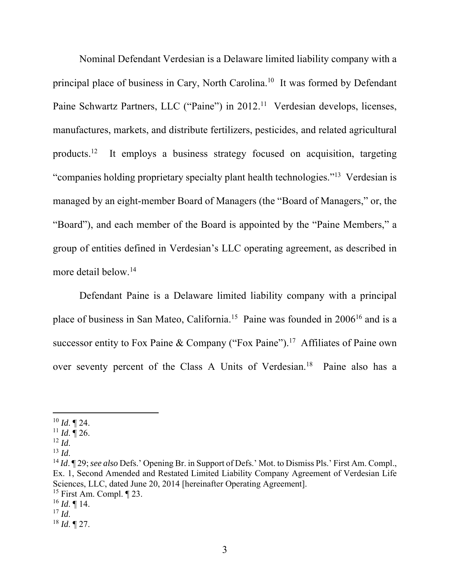Nominal Defendant Verdesian is a Delaware limited liability company with a principal place of business in Cary, North Carolina.<sup>10</sup> It was formed by Defendant Paine Schwartz Partners, LLC ("Paine") in 2012.<sup>11</sup> Verdesian develops, licenses, manufactures, markets, and distribute fertilizers, pesticides, and related agricultural products.<sup>12</sup> It employs a business strategy focused on acquisition, targeting "companies holding proprietary specialty plant health technologies."<sup>13</sup> Verdesian is managed by an eight-member Board of Managers (the "Board of Managers," or, the "Board"), and each member of the Board is appointed by the "Paine Members," a group of entities defined in Verdesian's LLC operating agreement, as described in more detail below.<sup>14</sup>

Defendant Paine is a Delaware limited liability company with a principal place of business in San Mateo, California.<sup>15</sup> Paine was founded in 2006<sup>16</sup> and is a successor entity to Fox Paine & Company ("Fox Paine").<sup>17</sup> Affiliates of Paine own over seventy percent of the Class A Units of Verdesian.<sup>18</sup> Paine also has a

<sup>10</sup> *Id*. ¶ 24.

 $11$  *Id.* 126.

 $12$  *Id.* 

<sup>13</sup> *Id*.

<sup>14</sup> *Id*. ¶ 29;*see also* Defs.' Opening Br. in Support of Defs.' Mot. to Dismiss Pls.' First Am. Compl., Ex. 1, Second Amended and Restated Limited Liability Company Agreement of Verdesian Life Sciences, LLC, dated June 20, 2014 [hereinafter Operating Agreement].

<sup>&</sup>lt;sup>15</sup> First Am. Compl.  $\P$  23.

<sup>16</sup> *Id*. ¶ 14.

 $17$  *Id.* 

<sup>18</sup> *Id*. ¶ 27.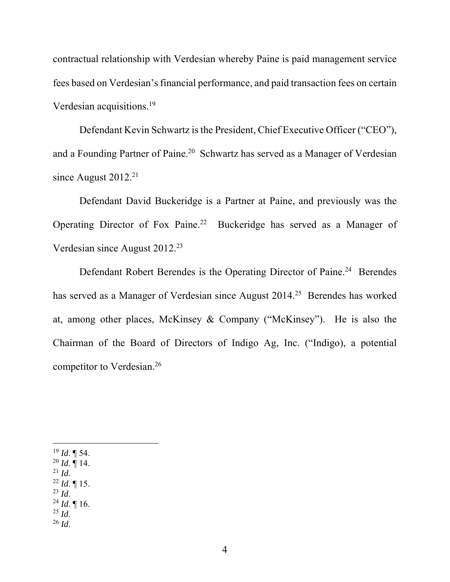contractual relationship with Verdesian whereby Paine is paid management service fees based on Verdesian's financial performance, and paid transaction fees on certain Verdesian acquisitions.<sup>19</sup>

Defendant Kevin Schwartz is the President, Chief Executive Officer ("CEO"), and a Founding Partner of Paine.<sup>20</sup> Schwartz has served as a Manager of Verdesian since August  $2012.<sup>21</sup>$ 

Defendant David Buckeridge is a Partner at Paine, and previously was the Operating Director of Fox Paine.<sup>22</sup> Buckeridge has served as a Manager of Verdesian since August 2012.<sup>23</sup>

Defendant Robert Berendes is the Operating Director of Paine.<sup>24</sup> Berendes has served as a Manager of Verdesian since August 2014.<sup>25</sup> Berendes has worked at, among other places, McKinsey & Company ("McKinsey"). He is also the Chairman of the Board of Directors of Indigo Ag, Inc. ("Indigo), a potential competitor to Verdesian.<sup>26</sup>

 $^{19}$  *Id.* ¶ 54.

 $^{20}$  *Id.* ¶ 14.  $^{21}$  *Id.* 

 $^{22}$  *Id.* ¶ 15.

 $^{23}$  *Id.* 

<sup>24</sup> *Id*. ¶ 16.

 $^{25}$  *Id.* 

<sup>26</sup> *Id*.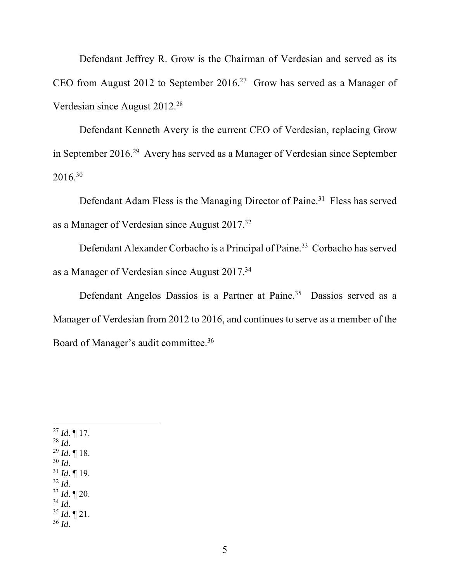Defendant Jeffrey R. Grow is the Chairman of Verdesian and served as its CEO from August 2012 to September 2016.<sup>27</sup> Grow has served as a Manager of Verdesian since August 2012.<sup>28</sup>

Defendant Kenneth Avery is the current CEO of Verdesian, replacing Grow in September 2016.<sup>29</sup> Avery has served as a Manager of Verdesian since September 2016.<sup>30</sup>

Defendant Adam Fless is the Managing Director of Paine.<sup>31</sup> Fless has served as a Manager of Verdesian since August 2017.<sup>32</sup>

Defendant Alexander Corbacho is a Principal of Paine.<sup>33</sup> Corbacho has served as a Manager of Verdesian since August 2017.<sup>34</sup>

Defendant Angelos Dassios is a Partner at Paine.<sup>35</sup> Dassios served as a Manager of Verdesian from 2012 to 2016, and continues to serve as a member of the Board of Manager's audit committee.<sup>36</sup>

<sup>27</sup> *Id*. ¶ 17. <sup>28</sup> *Id*. <sup>29</sup> *Id*. ¶ 18.  $30$  *Id.*  $31$  *Id.* 19.  $32$  *Id.* <sup>33</sup> *Id*. ¶ 20.  $34$  *Id.*  $35$  *Id.*  $\P$  21. <sup>36</sup> *Id*.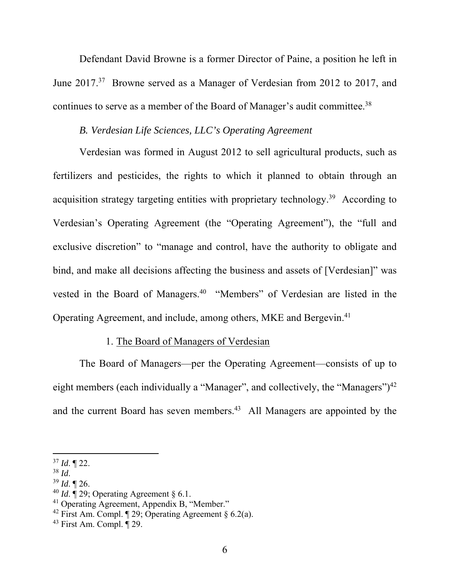Defendant David Browne is a former Director of Paine, a position he left in June 2017.<sup>37</sup> Browne served as a Manager of Verdesian from 2012 to 2017, and continues to serve as a member of the Board of Manager's audit committee.<sup>38</sup>

# *B. Verdesian Life Sciences, LLC's Operating Agreement*

Verdesian was formed in August 2012 to sell agricultural products, such as fertilizers and pesticides, the rights to which it planned to obtain through an acquisition strategy targeting entities with proprietary technology.<sup>39</sup> According to Verdesian's Operating Agreement (the "Operating Agreement"), the "full and exclusive discretion" to "manage and control, have the authority to obligate and bind, and make all decisions affecting the business and assets of [Verdesian]" was vested in the Board of Managers.<sup>40</sup> "Members" of Verdesian are listed in the Operating Agreement, and include, among others, MKE and Bergevin.<sup>41</sup>

# 1. The Board of Managers of Verdesian

The Board of Managers—per the Operating Agreement—consists of up to eight members (each individually a "Manager", and collectively, the "Managers")<sup>42</sup> and the current Board has seven members.<sup>43</sup> All Managers are appointed by the

<sup>37</sup> *Id*. ¶ 22.

<sup>38</sup> *Id*.

 $39$  *Id.*  $\P$  26.

 $^{40}$  *Id.*  $\sqrt{ }$  29; Operating Agreement  $\frac{6}{9}$  6.1.

<sup>41</sup> Operating Agreement, Appendix B, "Member."

<sup>&</sup>lt;sup>42</sup> First Am. Compl.  $\sqrt{ }$  29; Operating Agreement § 6.2(a).

 $43$  First Am. Compl.  $\sqrt{29}$ .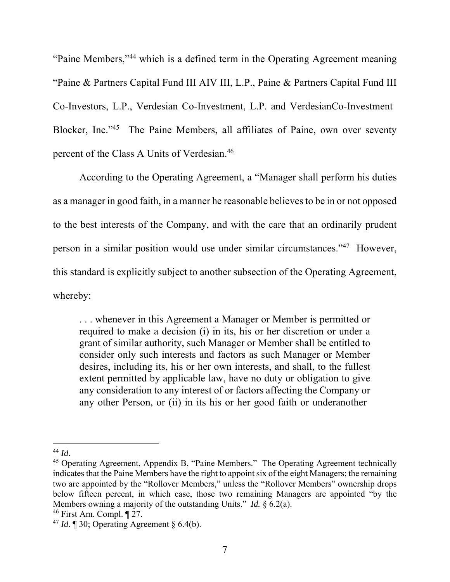"Paine Members,"<sup>44</sup> which is a defined term in the Operating Agreement meaning "Paine & Partners Capital Fund III AIV III, L.P., Paine & Partners Capital Fund III Co-Investors, L.P., Verdesian Co-Investment, L.P. and VerdesianCo-Investment Blocker, Inc."<sup>45</sup> The Paine Members, all affiliates of Paine, own over seventy percent of the Class A Units of Verdesian.<sup>46</sup>

According to the Operating Agreement, a "Manager shall perform his duties as a manager in good faith, in a manner he reasonable believes to be in or not opposed to the best interests of the Company, and with the care that an ordinarily prudent person in a similar position would use under similar circumstances."<sup>47</sup> However, this standard is explicitly subject to another subsection of the Operating Agreement, whereby:

. . . whenever in this Agreement a Manager or Member is permitted or required to make a decision (i) in its, his or her discretion or under a grant of similar authority, such Manager or Member shall be entitled to consider only such interests and factors as such Manager or Member desires, including its, his or her own interests, and shall, to the fullest extent permitted by applicable law, have no duty or obligation to give any consideration to any interest of or factors affecting the Company or any other Person, or (ii) in its his or her good faith or underanother

<sup>44</sup> *Id*.

<sup>&</sup>lt;sup>45</sup> Operating Agreement, Appendix B, "Paine Members." The Operating Agreement technically indicates that the Paine Members have the right to appoint six of the eight Managers; the remaining two are appointed by the "Rollover Members," unless the "Rollover Members" ownership drops below fifteen percent, in which case, those two remaining Managers are appointed "by the Members owning a majority of the outstanding Units." *Id.* § 6.2(a).

<sup>46</sup> First Am. Compl. ¶ 27.

<sup>&</sup>lt;sup>47</sup> *Id.*  $\llbracket 30$ ; Operating Agreement  $\& 6.4(b)$ .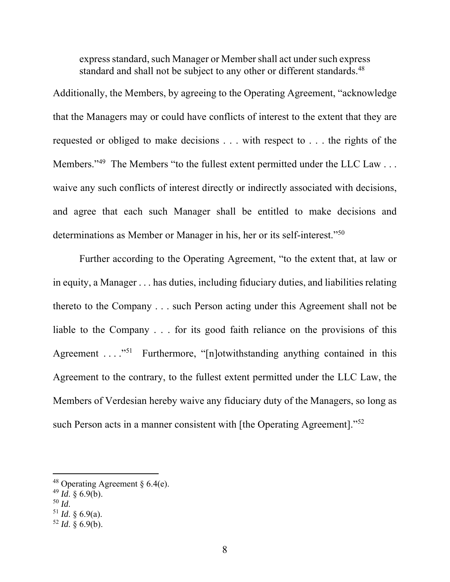express standard, such Manager or Member shall act under such express standard and shall not be subject to any other or different standards.<sup>48</sup>

Additionally, the Members, by agreeing to the Operating Agreement, "acknowledge that the Managers may or could have conflicts of interest to the extent that they are requested or obliged to make decisions . . . with respect to . . . the rights of the Members."<sup>49</sup> The Members "to the fullest extent permitted under the LLC Law . . . waive any such conflicts of interest directly or indirectly associated with decisions, and agree that each such Manager shall be entitled to make decisions and determinations as Member or Manager in his, her or its self-interest."<sup>50</sup>

Further according to the Operating Agreement, "to the extent that, at law or in equity, a Manager . . . has duties, including fiduciary duties, and liabilities relating thereto to the Company . . . such Person acting under this Agreement shall not be liable to the Company . . . for its good faith reliance on the provisions of this Agreement  $\dots$ <sup>51</sup> Furthermore, "[n]otwithstanding anything contained in this Agreement to the contrary, to the fullest extent permitted under the LLC Law, the Members of Verdesian hereby waive any fiduciary duty of the Managers, so long as such Person acts in a manner consistent with [the Operating Agreement]."<sup>52</sup>

- $^{49}$  *Id.* § 6.9(b).
- <sup>50</sup> *Id*.
- $51$  *Id.* § 6.9(a).

<sup>&</sup>lt;sup>48</sup> Operating Agreement  $\S 6.4(e)$ .

 $52$  *Id.* § 6.9(b).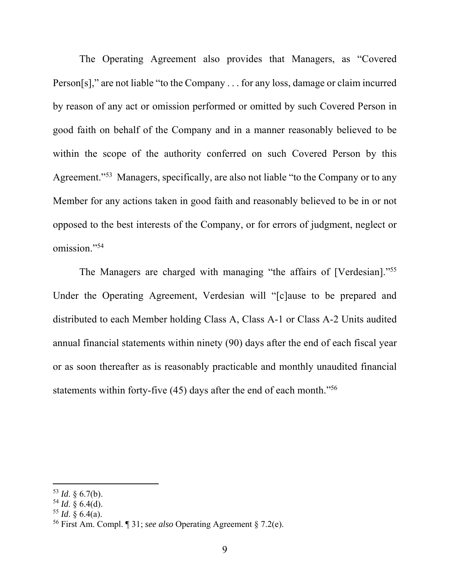The Operating Agreement also provides that Managers, as "Covered Person[s]," are not liable "to the Company . . . for any loss, damage or claim incurred by reason of any act or omission performed or omitted by such Covered Person in good faith on behalf of the Company and in a manner reasonably believed to be within the scope of the authority conferred on such Covered Person by this Agreement."<sup>53</sup> Managers, specifically, are also not liable "to the Company or to any Member for any actions taken in good faith and reasonably believed to be in or not opposed to the best interests of the Company, or for errors of judgment, neglect or omission."<sup>54</sup>

The Managers are charged with managing "the affairs of [Verdesian]."<sup>55</sup> Under the Operating Agreement, Verdesian will "[c]ause to be prepared and distributed to each Member holding Class A, Class A-1 or Class A-2 Units audited annual financial statements within ninety (90) days after the end of each fiscal year or as soon thereafter as is reasonably practicable and monthly unaudited financial statements within forty-five (45) days after the end of each month."<sup>56</sup>

 $53$  *Id.* § 6.7(b).

<sup>54</sup> *Id*. § 6.4(d).

 $55$  *Id.* § 6.4(a).

<sup>56</sup> First Am. Compl. ¶ 31; *see also* Operating Agreement § 7.2(e).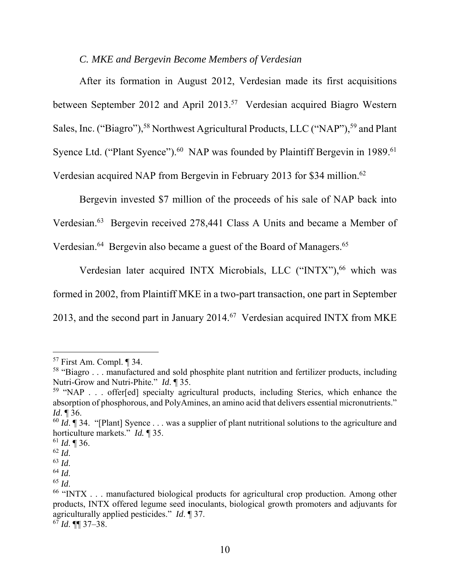#### *C. MKE and Bergevin Become Members of Verdesian*

After its formation in August 2012, Verdesian made its first acquisitions between September 2012 and April 2013.<sup>57</sup> Verdesian acquired Biagro Western Sales, Inc. ("Biagro"),<sup>58</sup> Northwest Agricultural Products, LLC ("NAP"),<sup>59</sup> and Plant Syence Ltd. ("Plant Syence").<sup>60</sup> NAP was founded by Plaintiff Bergevin in 1989.<sup>61</sup> Verdesian acquired NAP from Bergevin in February 2013 for \$34 million.<sup>62</sup>

Bergevin invested \$7 million of the proceeds of his sale of NAP back into

Verdesian.<sup>63</sup> Bergevin received 278,441 Class A Units and became a Member of

Verdesian.<sup>64</sup> Bergevin also became a guest of the Board of Managers.<sup>65</sup>

Verdesian later acquired INTX Microbials, LLC ("INTX"),<sup>66</sup> which was formed in 2002, from Plaintiff MKE in a two-part transaction, one part in September 2013, and the second part in January  $2014$ .<sup>67</sup> Verdesian acquired INTX from MKE

<sup>57</sup> First Am. Compl. ¶ 34.

<sup>58</sup> "Biagro . . . manufactured and sold phosphite plant nutrition and fertilizer products, including Nutri-Grow and Nutri-Phite." *Id*. ¶ 35.

 $59$  "NAP . . . offer[ed] specialty agricultural products, including Sterics, which enhance the absorption of phosphorous, and PolyAmines, an amino acid that delivers essential micronutrients." *Id*. ¶ 36.

<sup>&</sup>lt;sup>60</sup> *Id*. **[34.** "[Plant] Syence . . . was a supplier of plant nutritional solutions to the agriculture and horticulture markets." *Id.* ¶ 35.

 $^{61}$  *Id.* ¶ 36.

<sup>62</sup> *Id*.

<sup>63</sup> *Id*.

<sup>64</sup> *Id*.

<sup>65</sup> *Id*.

 $66$  "INTX  $\ldots$  manufactured biological products for agricultural crop production. Among other products, INTX offered legume seed inoculants, biological growth promoters and adjuvants for agriculturally applied pesticides." *Id*. ¶ 37.

<sup>67</sup> *Id*. ¶¶ 37–38.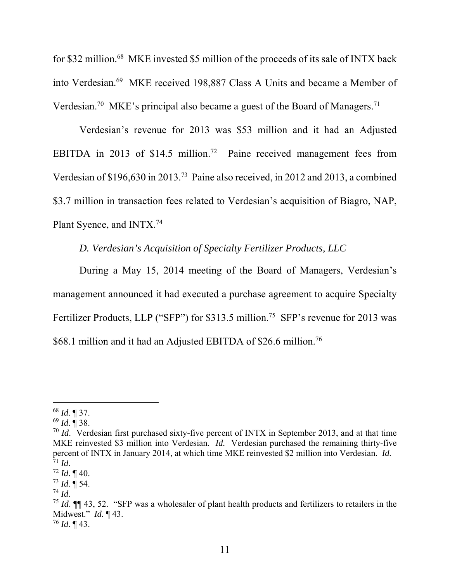for \$32 million.<sup>68</sup> MKE invested \$5 million of the proceeds of its sale of INTX back into Verdesian.<sup>69</sup> MKE received 198,887 Class A Units and became a Member of Verdesian.<sup>70</sup> MKE's principal also became a guest of the Board of Managers.<sup>71</sup>

Verdesian's revenue for 2013 was \$53 million and it had an Adjusted EBITDA in 2013 of \$14.5 million.<sup>72</sup> Paine received management fees from Verdesian of \$196,630 in 2013.<sup>73</sup> Paine also received, in 2012 and 2013, a combined \$3.7 million in transaction fees related to Verdesian's acquisition of Biagro, NAP, Plant Syence, and INTX.<sup>74</sup>

# *D. Verdesian's Acquisition of Specialty Fertilizer Products, LLC*

During a May 15, 2014 meeting of the Board of Managers, Verdesian's management announced it had executed a purchase agreement to acquire Specialty Fertilizer Products, LLP ("SFP") for \$313.5 million.<sup>75</sup> SFP's revenue for 2013 was \$68.1 million and it had an Adjusted EBITDA of \$26.6 million.<sup>76</sup>

<sup>68</sup> *Id*. ¶ 37.

<sup>69</sup> *Id*. ¶ 38.

<sup>&</sup>lt;sup>70</sup> *Id.* Verdesian first purchased sixty-five percent of INTX in September 2013, and at that time MKE reinvested \$3 million into Verdesian. *Id.* Verdesian purchased the remaining thirty-five percent of INTX in January 2014, at which time MKE reinvested \$2 million into Verdesian. *Id.*  <sup>71</sup> *Id*.

 $72$  *Id.*  $\P$  40.

 $^{73}$  *Id.*  $\overline{9}$  54.

 $^{74}$  *Id.* 

<sup>75</sup> *Id*. ¶¶ 43, 52. "SFP was a wholesaler of plant health products and fertilizers to retailers in the Midwest." *Id.* ¶ 43. <sup>76</sup> *Id*. ¶ 43.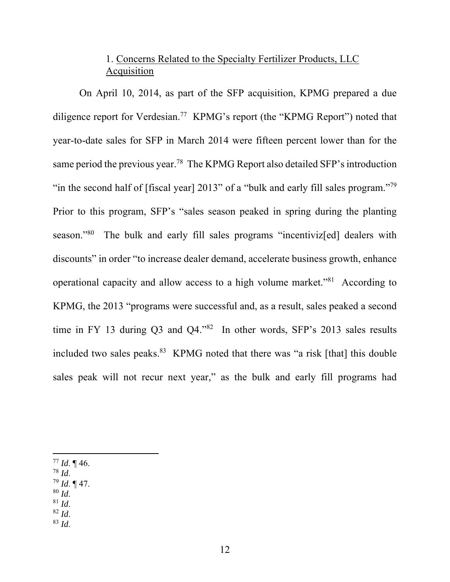# 1. Concerns Related to the Specialty Fertilizer Products, LLC Acquisition

On April 10, 2014, as part of the SFP acquisition, KPMG prepared a due diligence report for Verdesian.<sup>77</sup> KPMG's report (the "KPMG Report") noted that year-to-date sales for SFP in March 2014 were fifteen percent lower than for the same period the previous year.<sup>78</sup> The KPMG Report also detailed SFP's introduction "in the second half of [fiscal year] 2013" of a "bulk and early fill sales program."<sup>79</sup> Prior to this program, SFP's "sales season peaked in spring during the planting season."<sup>80</sup> The bulk and early fill sales programs "incentivized" dealers with discounts" in order "to increase dealer demand, accelerate business growth, enhance operational capacity and allow access to a high volume market."<sup>81</sup> According to KPMG, the 2013 "programs were successful and, as a result, sales peaked a second time in FY 13 during Q3 and Q4."<sup>82</sup> In other words, SFP's 2013 sales results included two sales peaks.<sup>83</sup> KPMG noted that there was "a risk [that] this double sales peak will not recur next year," as the bulk and early fill programs had

- <sup>78</sup> *Id*.
- <sup>79</sup> *Id*. ¶ 47.
- $80$  *Id.*
- $81$  *Id.*
- <sup>82</sup> *Id*.
- <sup>83</sup> *Id*.

<sup>77</sup> *Id*. ¶ 46.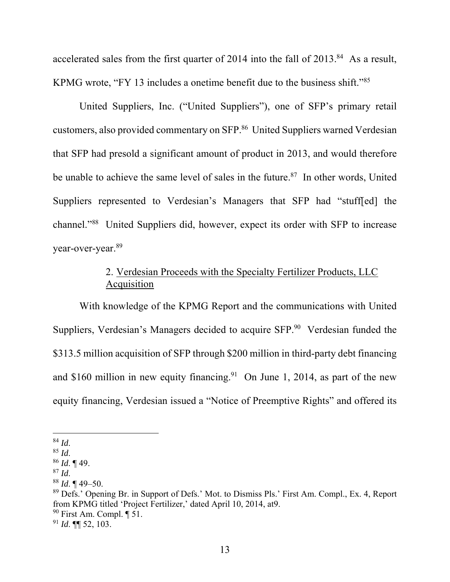accelerated sales from the first quarter of 2014 into the fall of  $2013$ .<sup>84</sup> As a result, KPMG wrote, "FY 13 includes a onetime benefit due to the business shift."<sup>85</sup>

United Suppliers, Inc. ("United Suppliers"), one of SFP's primary retail customers, also provided commentary on SFP.<sup>86</sup> United Suppliers warned Verdesian that SFP had presold a significant amount of product in 2013, and would therefore be unable to achieve the same level of sales in the future.<sup>87</sup> In other words, United Suppliers represented to Verdesian's Managers that SFP had "stuff[ed] the channel."<sup>88</sup> United Suppliers did, however, expect its order with SFP to increase year-over-year.<sup>89</sup>

# 2. Verdesian Proceeds with the Specialty Fertilizer Products, LLC Acquisition

With knowledge of the KPMG Report and the communications with United Suppliers, Verdesian's Managers decided to acquire SFP.<sup>90</sup> Verdesian funded the \$313.5 million acquisition of SFP through \$200 million in third-party debt financing and \$160 million in new equity financing.<sup>91</sup> On June 1, 2014, as part of the new equity financing, Verdesian issued a "Notice of Preemptive Rights" and offered its

 $90$  First Am. Compl.  $\P$  51.

<sup>84</sup> *Id*.

<sup>85</sup> *Id*.

<sup>86</sup> *Id*. ¶ 49.

<sup>87</sup> *Id*.

<sup>88</sup> *Id*. ¶ 49–50.

<sup>89</sup> Defs.' Opening Br. in Support of Defs.' Mot. to Dismiss Pls.' First Am. Compl., Ex. 4, Report from KPMG titled 'Project Fertilizer,' dated April 10, 2014, at9.

<sup>91</sup> *Id*. ¶¶ 52, 103.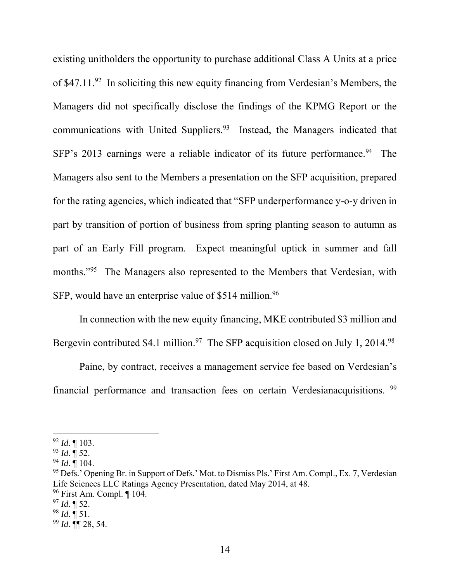existing unitholders the opportunity to purchase additional Class A Units at a price of  $$47.11.<sup>92</sup>$  In soliciting this new equity financing from Verdesian's Members, the Managers did not specifically disclose the findings of the KPMG Report or the communications with United Suppliers.<sup>93</sup> Instead, the Managers indicated that SFP's 2013 earnings were a reliable indicator of its future performance.<sup>94</sup> The Managers also sent to the Members a presentation on the SFP acquisition, prepared for the rating agencies, which indicated that "SFP underperformance y-o-y driven in part by transition of portion of business from spring planting season to autumn as part of an Early Fill program. Expect meaningful uptick in summer and fall months."<sup>95</sup> The Managers also represented to the Members that Verdesian, with SFP, would have an enterprise value of \$514 million.<sup>96</sup>

In connection with the new equity financing, MKE contributed \$3 million and Bergevin contributed \$4.1 million.<sup>97</sup> The SFP acquisition closed on July 1, 2014.<sup>98</sup>

Paine, by contract, receives a management service fee based on Verdesian's financial performance and transaction fees on certain Verdesianacquisitions. <sup>99</sup>

<sup>92</sup> *Id*. ¶ 103.

<sup>93</sup> *Id*. ¶ 52.

<sup>94</sup> *Id*. ¶ 104.

<sup>&</sup>lt;sup>95</sup> Defs.' Opening Br. in Support of Defs.' Mot. to Dismiss Pls.' First Am. Compl., Ex. 7, Verdesian Life Sciences LLC Ratings Agency Presentation, dated May 2014, at 48.

<sup>96</sup> First Am. Compl. ¶ 104.

 $^{97}$  *Id.* ¶ 52.

<sup>98</sup> *Id*. ¶ 51.

<sup>99</sup> *Id*. ¶¶ 28, 54.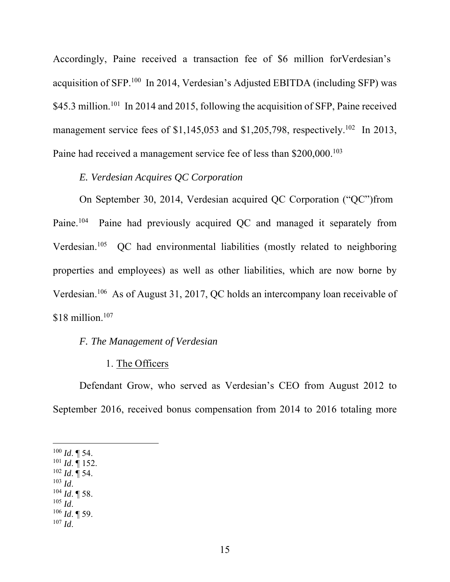Accordingly, Paine received a transaction fee of \$6 million forVerdesian's acquisition of SFP.<sup>100</sup> In 2014, Verdesian's Adjusted EBITDA (including SFP) was \$45.3 million.<sup>101</sup> In 2014 and 2015, following the acquisition of SFP, Paine received management service fees of \$1,145,053 and \$1,205,798, respectively.<sup>102</sup> In 2013, Paine had received a management service fee of less than \$200,000.<sup>103</sup>

## *E. Verdesian Acquires QC Corporation*

On September 30, 2014, Verdesian acquired QC Corporation ("QC")from Paine.<sup>104</sup> Paine had previously acquired QC and managed it separately from Verdesian.<sup>105</sup> QC had environmental liabilities (mostly related to neighboring properties and employees) as well as other liabilities, which are now borne by Verdesian.<sup>106</sup> As of August 31, 2017, QC holds an intercompany loan receivable of  $$18$  million.<sup>107</sup>

## *F. The Management of Verdesian*

### 1. The Officers

Defendant Grow, who served as Verdesian's CEO from August 2012 to September 2016, received bonus compensation from 2014 to 2016 totaling more

 $100$  *Id.*  $\P$  54.

- $101$  *Id.* 152.
- $^{102}$  *Id.*  $\overline{9}$  54.  $103$  *Id.*
- $104$  *Id*. **[58.**]
- $105$  *Id.*
- $106$  *Id*. **[59.**]
- $107$  *Id*.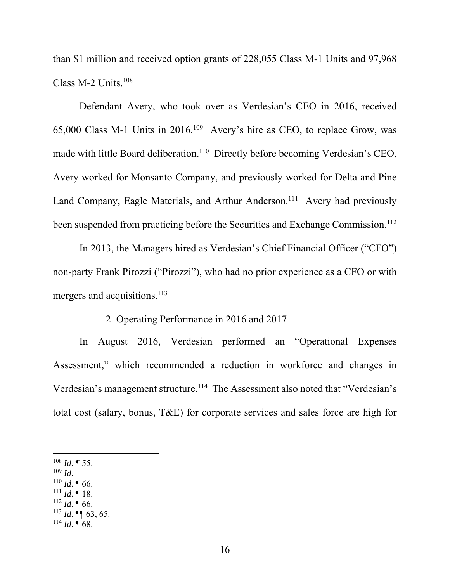than \$1 million and received option grants of 228,055 Class M-1 Units and 97,968 Class M-2 Units. $108$ 

Defendant Avery, who took over as Verdesian's CEO in 2016, received 65,000 Class M-1 Units in 2016.<sup>109</sup> Avery's hire as CEO, to replace Grow, was made with little Board deliberation.<sup>110</sup> Directly before becoming Verdesian's CEO, Avery worked for Monsanto Company, and previously worked for Delta and Pine Land Company, Eagle Materials, and Arthur Anderson.<sup>111</sup> Avery had previously been suspended from practicing before the Securities and Exchange Commission.<sup>112</sup>

In 2013, the Managers hired as Verdesian's Chief Financial Officer ("CFO") non-party Frank Pirozzi ("Pirozzi"), who had no prior experience as a CFO or with mergers and acquisitions.<sup>113</sup>

#### 2. Operating Performance in 2016 and 2017

In August 2016, Verdesian performed an "Operational Expenses Assessment," which recommended a reduction in workforce and changes in Verdesian's management structure.<sup>114</sup> The Assessment also noted that "Verdesian's total cost (salary, bonus, T&E) for corporate services and sales force are high for

 $111$  *Id.* 18.

 $108$  *Id.* 155.

 $109$  *Id.* 

<sup>110</sup> *Id*. ¶ 66.

 $112$  *Id.* 166.

<sup>113</sup> *Id*. ¶¶ 63, 65.

 $^{114}$  *Id.*  $\overline{9}$  68.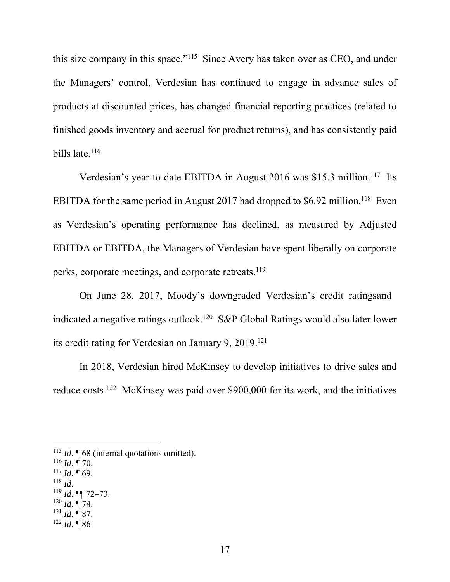this size company in this space."<sup>115</sup> Since Avery has taken over as CEO, and under the Managers' control, Verdesian has continued to engage in advance sales of products at discounted prices, has changed financial reporting practices (related to finished goods inventory and accrual for product returns), and has consistently paid bills late.<sup>116</sup>

Verdesian's year-to-date EBITDA in August 2016 was \$15.3 million.<sup>117</sup> Its EBITDA for the same period in August 2017 had dropped to  $$6.92$  million.<sup>118</sup> Even as Verdesian's operating performance has declined, as measured by Adjusted EBITDA or EBITDA, the Managers of Verdesian have spent liberally on corporate perks, corporate meetings, and corporate retreats.<sup>119</sup>

On June 28, 2017, Moody's downgraded Verdesian's credit ratingsand indicated a negative ratings outlook.<sup>120</sup> S&P Global Ratings would also later lower its credit rating for Verdesian on January 9, 2019.<sup>121</sup>

In 2018, Verdesian hired McKinsey to develop initiatives to drive sales and reduce costs.<sup>122</sup> McKinsey was paid over \$900,000 for its work, and the initiatives

- <sup>116</sup> *Id*. ¶ 70.
- $117$  *Id.*  $\overline{9}$  69.
- <sup>118</sup> *Id*.
- <sup>119</sup> *Id*. ¶¶ 72–73.
- $120$  *Id.* 174.
- $121$  *Id.* ¶ 87.
- $122$  *Id.*  $\overline{9}$  86

<sup>&</sup>lt;sup>115</sup> *Id*. **[68** (internal quotations omitted).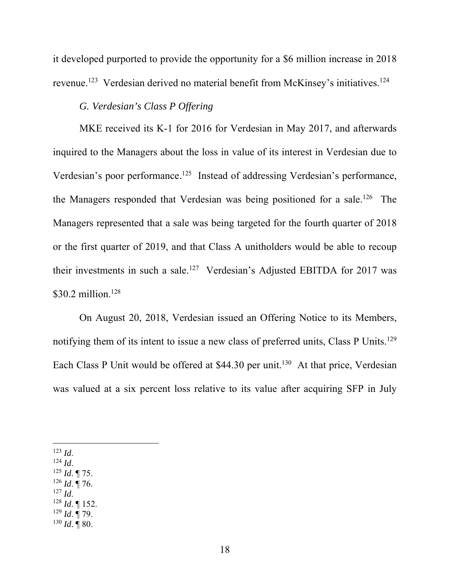it developed purported to provide the opportunity for a \$6 million increase in 2018 revenue.<sup>123</sup> Verdesian derived no material benefit from McKinsey's initiatives.<sup>124</sup>

## *G. Verdesian's Class P Offering*

MKE received its K-1 for 2016 for Verdesian in May 2017, and afterwards inquired to the Managers about the loss in value of its interest in Verdesian due to Verdesian's poor performance.<sup>125</sup> Instead of addressing Verdesian's performance, the Managers responded that Verdesian was being positioned for a sale.<sup>126</sup> The Managers represented that a sale was being targeted for the fourth quarter of 2018 or the first quarter of 2019, and that Class A unitholders would be able to recoup their investments in such a sale.<sup>127</sup> Verdesian's Adjusted EBITDA for 2017 was \$30.2 million.<sup>128</sup>

On August 20, 2018, Verdesian issued an Offering Notice to its Members, notifying them of its intent to issue a new class of preferred units, Class P Units.<sup>129</sup> Each Class P Unit would be offered at \$44.30 per unit.<sup>130</sup> At that price, Verdesian was valued at a six percent loss relative to its value after acquiring SFP in July

<sup>123</sup> *Id*.

- <sup>124</sup> *Id*.
- <sup>125</sup> *Id*. ¶ 75.
- <sup>126</sup> *Id*. ¶ 76.
- $^{127}$  *Id.*
- <sup>128</sup> *Id*. ¶ 152.
- <sup>129</sup> *Id*. ¶ 79.  $^{130}$  *Id.*  $\overline{9}$  80.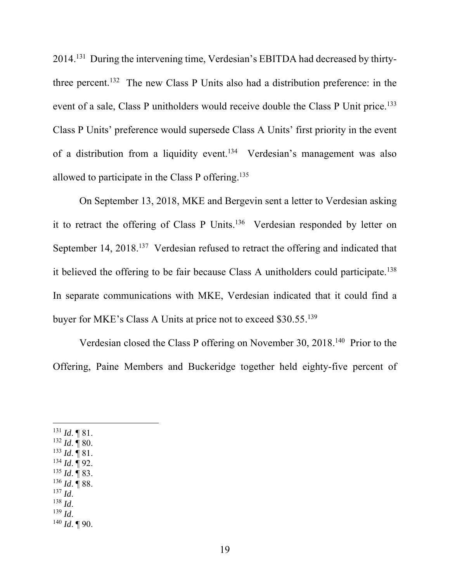2014.<sup>131</sup> During the intervening time, Verdesian's EBITDA had decreased by thirtythree percent.<sup>132</sup> The new Class P Units also had a distribution preference: in the event of a sale, Class P unitholders would receive double the Class P Unit price.<sup>133</sup> Class P Units' preference would supersede Class A Units' first priority in the event of a distribution from a liquidity event.<sup>134</sup> Verdesian's management was also allowed to participate in the Class P offering.<sup>135</sup>

On September 13, 2018, MKE and Bergevin sent a letter to Verdesian asking it to retract the offering of Class P Units.<sup>136</sup> Verdesian responded by letter on September 14, 2018.<sup>137</sup> Verdesian refused to retract the offering and indicated that it believed the offering to be fair because Class A unitholders could participate.<sup>138</sup> In separate communications with MKE, Verdesian indicated that it could find a buyer for MKE's Class A Units at price not to exceed \$30.55.<sup>139</sup>

Verdesian closed the Class P offering on November 30, 2018.<sup>140</sup> Prior to the Offering, Paine Members and Buckeridge together held eighty-five percent of

- <sup>136</sup> *Id*. ¶ 88.
- $^{137}$  *Id.* <sup>138</sup> *Id*.
- <sup>139</sup> *Id*.
- $140$  *Id.*  $\P$  90.

<sup>131</sup> *Id*. ¶ 81. <sup>132</sup> *Id*. ¶ 80.  $^{133}$  *Id.*  $\blacksquare$  81. <sup>134</sup> *Id*. ¶ 92. <sup>135</sup> *Id*. ¶ 83.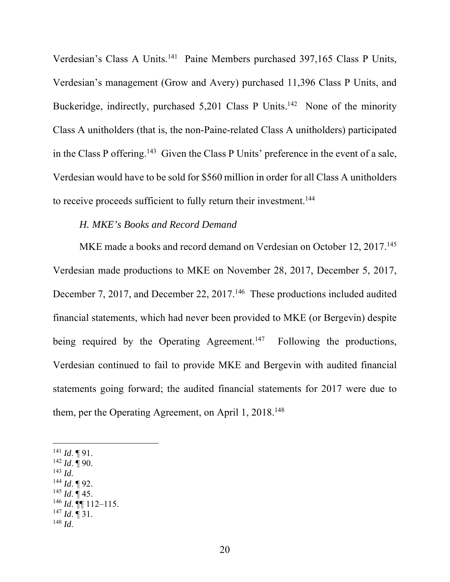Verdesian's Class A Units.<sup>141</sup> Paine Members purchased 397,165 Class P Units, Verdesian's management (Grow and Avery) purchased 11,396 Class P Units, and Buckeridge, indirectly, purchased  $5,201$  Class P Units.<sup>142</sup> None of the minority Class A unitholders (that is, the non-Paine-related Class A unitholders) participated in the Class P offering.<sup>143</sup> Given the Class P Units' preference in the event of a sale, Verdesian would have to be sold for \$560 million in order for all Class A unitholders to receive proceeds sufficient to fully return their investment.<sup>144</sup>

## *H. MKE's Books and Record Demand*

MKE made a books and record demand on Verdesian on October 12, 2017.<sup>145</sup> Verdesian made productions to MKE on November 28, 2017, December 5, 2017, December 7, 2017, and December 22, 2017.<sup>146</sup> These productions included audited financial statements, which had never been provided to MKE (or Bergevin) despite being required by the Operating Agreement.<sup>147</sup> Following the productions, Verdesian continued to fail to provide MKE and Bergevin with audited financial statements going forward; the audited financial statements for 2017 were due to them, per the Operating Agreement, on April 1, 2018.<sup>148</sup>

- $142$  *Id.* 190.
- $^{143}$  *Id.*
- <sup>144</sup> *Id*. ¶ 92.
- $^{145}$  *Id.*  $\overline{9}$  45.
- <sup>146</sup> *Id*. ¶¶ 112–115.
- $^{147}$  *Id.* 1 31.
- <sup>148</sup> *Id*.

 $^{141}$  *Id*. ¶ 91.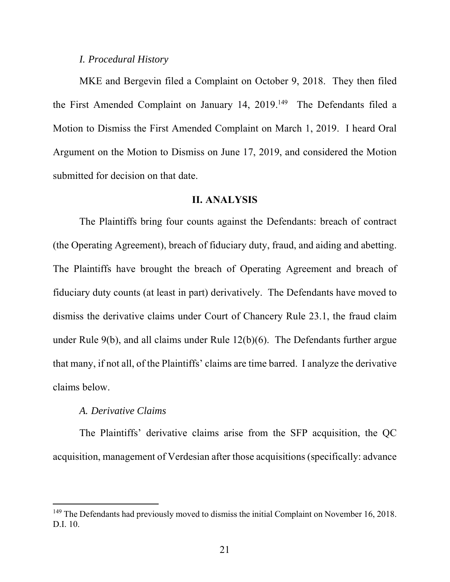#### *I. Procedural History*

MKE and Bergevin filed a Complaint on October 9, 2018. They then filed the First Amended Complaint on January 14, 2019.<sup>149</sup> The Defendants filed a Motion to Dismiss the First Amended Complaint on March 1, 2019. I heard Oral Argument on the Motion to Dismiss on June 17, 2019, and considered the Motion submitted for decision on that date.

#### II. ANALYSIS

The Plaintiffs bring four counts against the Defendants: breach of contract (the Operating Agreement), breach of fiduciary duty, fraud, and aiding and abetting. The Plaintiffs have brought the breach of Operating Agreement and breach of fiduciary duty counts (at least in part) derivatively. The Defendants have moved to dismiss the derivative claims under Court of Chancery Rule 23.1, the fraud claim under Rule 9(b), and all claims under Rule 12(b)(6). The Defendants further argue that many, if not all, of the Plaintiffs' claims are time barred. I analyze the derivative claims below.

## *A. Derivative Claims*

The Plaintiffs' derivative claims arise from the SFP acquisition, the QC acquisition, management of Verdesian after those acquisitions (specifically: advance

<sup>&</sup>lt;sup>149</sup> The Defendants had previously moved to dismiss the initial Complaint on November 16, 2018. D.I. 10.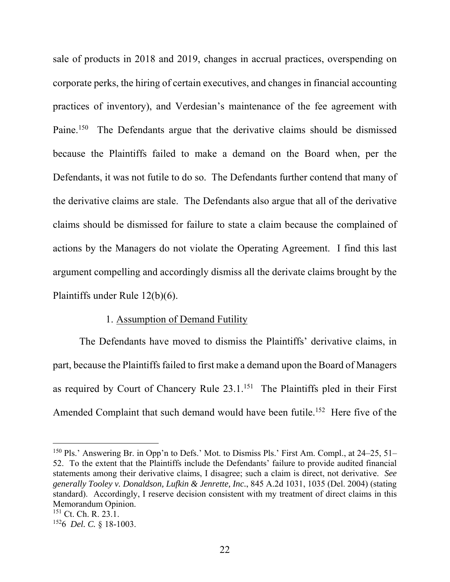sale of products in 2018 and 2019, changes in accrual practices, overspending on corporate perks, the hiring of certain executives, and changes in financial accounting practices of inventory), and Verdesian's maintenance of the fee agreement with Paine.<sup>150</sup> The Defendants argue that the derivative claims should be dismissed because the Plaintiffs failed to make a demand on the Board when, per the Defendants, it was not futile to do so. The Defendants further contend that many of the derivative claims are stale. The Defendants also argue that all of the derivative claims should be dismissed for failure to state a claim because the complained of actions by the Managers do not violate the Operating Agreement. I find this last argument compelling and accordingly dismiss all the derivate claims brought by the Plaintiffs under Rule 12(b)(6).

### 1. Assumption of Demand Futility

The Defendants have moved to dismiss the Plaintiffs' derivative claims, in part, because the Plaintiffs failed to first make a demand upon the Board of Managers as required by Court of Chancery Rule 23.1.<sup>151</sup> The Plaintiffs pled in their First Amended Complaint that such demand would have been futile.<sup>152</sup> Here five of the

<sup>&</sup>lt;sup>150</sup> Pls.' Answering Br. in Opp'n to Defs.' Mot. to Dismiss Pls.' First Am. Compl., at 24–25, 51– 52. To the extent that the Plaintiffs include the Defendants' failure to provide audited financial statements among their derivative claims, I disagree; such a claim is direct, not derivative. *See generally Tooley v. Donaldson, Lufkin & Jenrette, Inc.*, 845 A.2d 1031, 1035 (Del. 2004) (stating standard). Accordingly, I reserve decision consistent with my treatment of direct claims in this Memorandum Opinion.

<sup>151</sup> Ct. Ch. R. 23.1.

<sup>152</sup>6 *Del. C.* § 18-1003.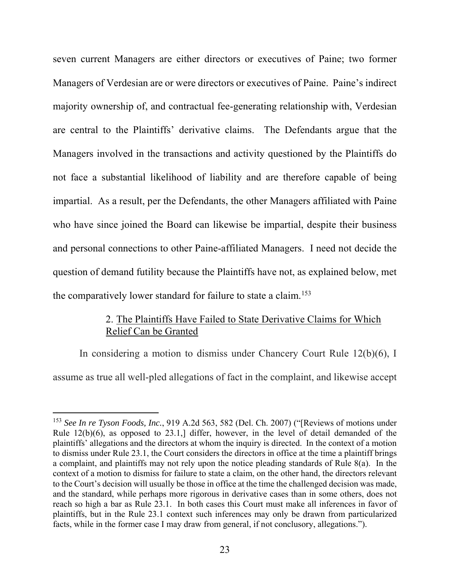seven current Managers are either directors or executives of Paine; two former Managers of Verdesian are or were directors or executives of Paine. Paine's indirect majority ownership of, and contractual fee-generating relationship with, Verdesian are central to the Plaintiffs' derivative claims. The Defendants argue that the Managers involved in the transactions and activity questioned by the Plaintiffs do not face a substantial likelihood of liability and are therefore capable of being impartial. As a result, per the Defendants, the other Managers affiliated with Paine who have since joined the Board can likewise be impartial, despite their business and personal connections to other Paine-affiliated Managers. I need not decide the question of demand futility because the Plaintiffs have not, as explained below, met the comparatively lower standard for failure to state a claim.<sup>153</sup>

## 2. The Plaintiffs Have Failed to State Derivative Claims for Which Relief Can be Granted

In considering a motion to dismiss under Chancery Court Rule 12(b)(6), I assume as true all well-pled allegations of fact in the complaint, and likewise accept

<sup>153</sup> *See In re Tyson Foods, Inc.*, 919 A.2d 563, 582 (Del. Ch. 2007) ("[Reviews of motions under Rule 12(b)(6), as opposed to 23.1,] differ, however, in the level of detail demanded of the plaintiffs' allegations and the directors at whom the inquiry is directed. In the context of a motion to dismiss under Rule 23.1, the Court considers the directors in office at the time a plaintiff brings a complaint, and plaintiffs may not rely upon the notice pleading standards of Rule 8(a). In the context of a motion to dismiss for failure to state a claim, on the other hand, the directors relevant to the Court's decision will usually be those in office at the time the challenged decision was made, and the standard, while perhaps more rigorous in derivative cases than in some others, does not reach so high a bar as Rule 23.1. In both cases this Court must make all inferences in favor of plaintiffs, but in the Rule 23.1 context such inferences may only be drawn from particularized facts, while in the former case I may draw from general, if not conclusory, allegations.").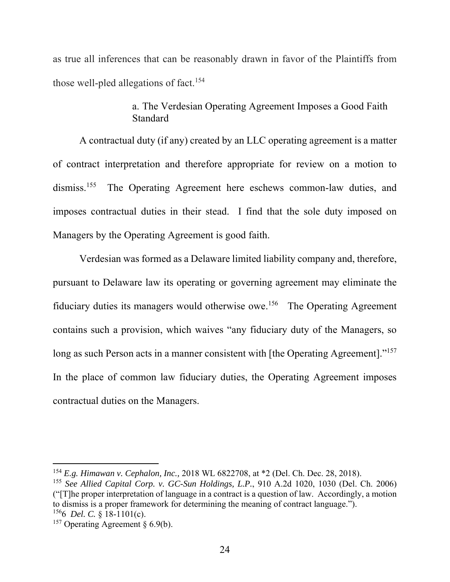as true all inferences that can be reasonably drawn in favor of the Plaintiffs from those well-pled allegations of fact.<sup>154</sup>

# a. The Verdesian Operating Agreement Imposes a Good Faith Standard

A contractual duty (if any) created by an LLC operating agreement is a matter of contract interpretation and therefore appropriate for review on a motion to dismiss.<sup>155</sup> The Operating Agreement here eschews common-law duties, and imposes contractual duties in their stead. I find that the sole duty imposed on Managers by the Operating Agreement is good faith.

Verdesian was formed as a Delaware limited liability company and, therefore, pursuant to Delaware law its operating or governing agreement may eliminate the fiduciary duties its managers would otherwise owe.<sup>156</sup> The Operating Agreement contains such a provision, which waives "any fiduciary duty of the Managers, so long as such Person acts in a manner consistent with [the Operating Agreement]."<sup>157</sup> In the place of common law fiduciary duties, the Operating Agreement imposes contractual duties on the Managers.

<sup>154</sup> *E.g. Himawan v. Cephalon, Inc.,* 2018 WL 6822708, at \*2 (Del. Ch. Dec. 28, 2018).

<sup>155</sup> *See Allied Capital Corp. v. GC-Sun Holdings, L.P.*, 910 A.2d 1020, 1030 (Del. Ch. 2006) ("[T]he proper interpretation of language in a contract is a question of law. Accordingly, a motion to dismiss is a proper framework for determining the meaning of contract language."). <sup>156</sup>6 *Del. C.* § 18-1101(c).

<sup>&</sup>lt;sup>157</sup> Operating Agreement  $\S 6.9(b)$ .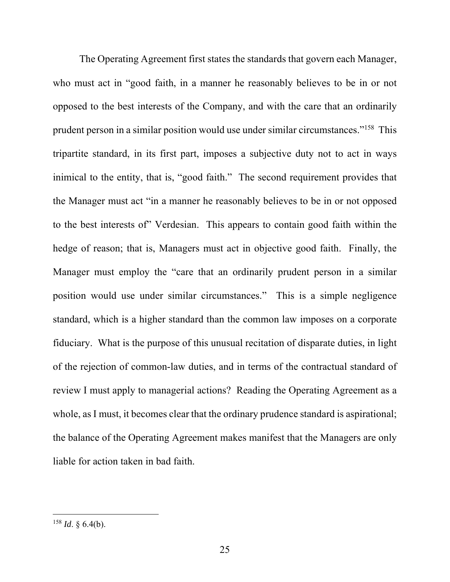The Operating Agreement first states the standards that govern each Manager, who must act in "good faith, in a manner he reasonably believes to be in or not opposed to the best interests of the Company, and with the care that an ordinarily prudent person in a similar position would use under similar circumstances."<sup>158</sup> This tripartite standard, in its first part, imposes a subjective duty not to act in ways inimical to the entity, that is, "good faith." The second requirement provides that the Manager must act "in a manner he reasonably believes to be in or not opposed to the best interests of" Verdesian. This appears to contain good faith within the hedge of reason; that is, Managers must act in objective good faith. Finally, the Manager must employ the "care that an ordinarily prudent person in a similar position would use under similar circumstances." This is a simple negligence standard, which is a higher standard than the common law imposes on a corporate fiduciary. What is the purpose of this unusual recitation of disparate duties, in light of the rejection of common-law duties, and in terms of the contractual standard of review I must apply to managerial actions? Reading the Operating Agreement as a whole, as I must, it becomes clear that the ordinary prudence standard is aspirational; the balance of the Operating Agreement makes manifest that the Managers are only liable for action taken in bad faith.

 $158$  *Id.* § 6.4(b).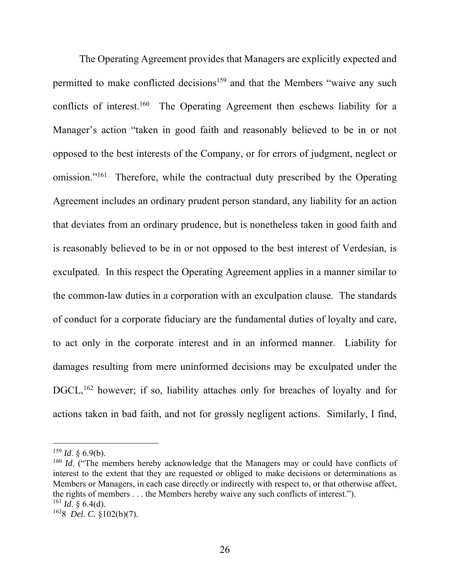The Operating Agreement provides that Managers are explicitly expected and permitted to make conflicted decisions<sup>159</sup> and that the Members "waive any such conflicts of interest.<sup>160</sup> The Operating Agreement then eschews liability for a Manager's action "taken in good faith and reasonably believed to be in or not opposed to the best interests of the Company, or for errors of judgment, neglect or omission."<sup>161</sup> Therefore, while the contractual duty prescribed by the Operating Agreement includes an ordinary prudent person standard, any liability for an action that deviates from an ordinary prudence, but is nonetheless taken in good faith and is reasonably believed to be in or not opposed to the best interest of Verdesian, is exculpated. In this respect the Operating Agreement applies in a manner similar to the common-law duties in a corporation with an exculpation clause. The standards of conduct for a corporate fiduciary are the fundamental duties of loyalty and care, to act only in the corporate interest and in an informed manner. Liability for damages resulting from mere uninformed decisions may be exculpated under the DGCL,<sup>162</sup> however; if so, liability attaches only for breaches of loyalty and for actions taken in bad faith, and not for grossly negligent actions. Similarly, I find,

 $^{159}$  *Id.* § 6.9(b).

<sup>&</sup>lt;sup>160</sup> *Id.* ("The members hereby acknowledge that the Managers may or could have conflicts of interest to the extent that they are requested or obliged to make decisions or determinations as Members or Managers, in each case directly or indirectly with respect to, or that otherwise affect, the rights of members . . . the Members hereby waive any such conflicts of interest.").  $^{161}$  *Id.* § 6.4(d).

<sup>162</sup>8 *Del. C.* §102(b)(7).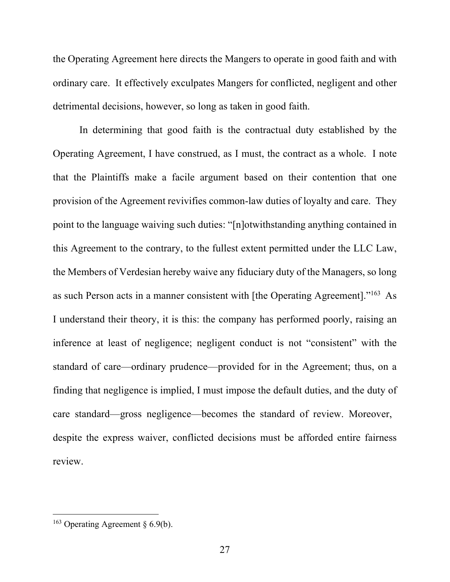the Operating Agreement here directs the Mangers to operate in good faith and with ordinary care. It effectively exculpates Mangers for conflicted, negligent and other detrimental decisions, however, so long as taken in good faith.

In determining that good faith is the contractual duty established by the Operating Agreement, I have construed, as I must, the contract as a whole. I note that the Plaintiffs make a facile argument based on their contention that one provision of the Agreement revivifies common-law duties of loyalty and care. They point to the language waiving such duties: "[n]otwithstanding anything contained in this Agreement to the contrary, to the fullest extent permitted under the LLC Law, the Members of Verdesian hereby waive any fiduciary duty of the Managers, so long as such Person acts in a manner consistent with [the Operating Agreement]."<sup>163</sup> As I understand their theory, it is this: the company has performed poorly, raising an inference at least of negligence; negligent conduct is not "consistent" with the standard of care—ordinary prudence—provided for in the Agreement; thus, on a finding that negligence is implied, I must impose the default duties, and the duty of care standard—gross negligence—becomes the standard of review. Moreover, despite the express waiver, conflicted decisions must be afforded entire fairness review.

<sup>&</sup>lt;sup>163</sup> Operating Agreement  $\S 6.9(b)$ .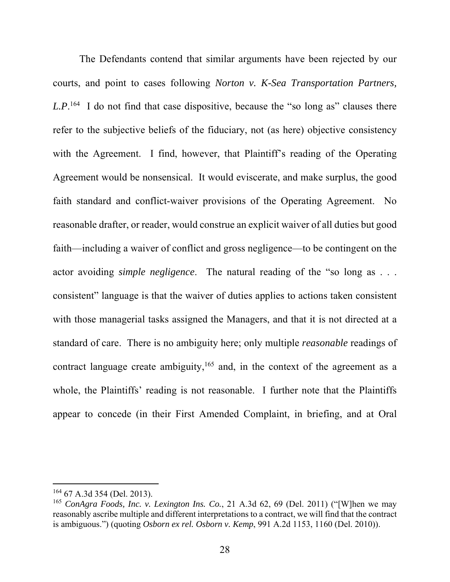The Defendants contend that similar arguments have been rejected by our courts, and point to cases following *Norton v. K-Sea Transportation Partners,*  L.P.<sup>164</sup> I do not find that case dispositive, because the "so long as" clauses there refer to the subjective beliefs of the fiduciary, not (as here) objective consistency with the Agreement. I find, however, that Plaintiff's reading of the Operating Agreement would be nonsensical. It would eviscerate, and make surplus, the good faith standard and conflict-waiver provisions of the Operating Agreement. No reasonable drafter, or reader, would construe an explicit waiver of all duties but good faith—including a waiver of conflict and gross negligence—to be contingent on the actor avoiding *simple negligence*. The natural reading of the "so long as . . . consistent" language is that the waiver of duties applies to actions taken consistent with those managerial tasks assigned the Managers, and that it is not directed at a standard of care. There is no ambiguity here; only multiple *reasonable* readings of contract language create ambiguity,<sup>165</sup> and, in the context of the agreement as a whole, the Plaintiffs' reading is not reasonable. I further note that the Plaintiffs appear to concede (in their First Amended Complaint, in briefing, and at Oral

<sup>164</sup> 67 A.3d 354 (Del. 2013).

<sup>165</sup> *ConAgra Foods, Inc. v. Lexington Ins. Co.*, 21 A.3d 62, 69 (Del. 2011) ("[W]hen we may reasonably ascribe multiple and different interpretations to a contract, we will find that the contract is ambiguous.") (quoting *Osborn ex rel. Osborn v. Kemp*, 991 A.2d 1153, 1160 (Del. 2010)).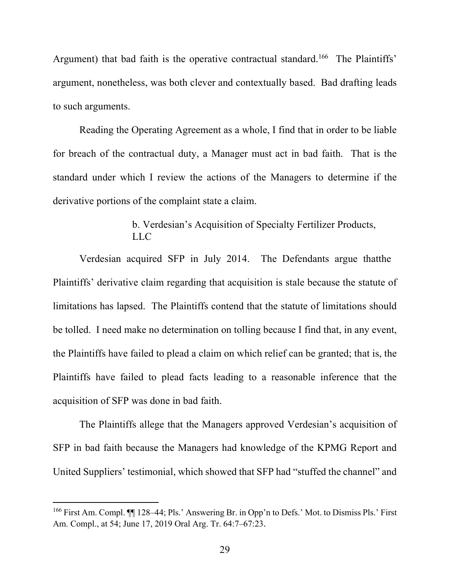Argument) that bad faith is the operative contractual standard.<sup>166</sup> The Plaintiffs' argument, nonetheless, was both clever and contextually based. Bad drafting leads to such arguments.

Reading the Operating Agreement as a whole, I find that in order to be liable for breach of the contractual duty, a Manager must act in bad faith. That is the standard under which I review the actions of the Managers to determine if the derivative portions of the complaint state a claim.

# b. Verdesian's Acquisition of Specialty Fertilizer Products, LLC

Verdesian acquired SFP in July 2014. The Defendants argue thatthe Plaintiffs' derivative claim regarding that acquisition is stale because the statute of limitations has lapsed. The Plaintiffs contend that the statute of limitations should be tolled. I need make no determination on tolling because I find that, in any event, the Plaintiffs have failed to plead a claim on which relief can be granted; that is, the Plaintiffs have failed to plead facts leading to a reasonable inference that the acquisition of SFP was done in bad faith.

The Plaintiffs allege that the Managers approved Verdesian's acquisition of SFP in bad faith because the Managers had knowledge of the KPMG Report and United Suppliers' testimonial, which showed that SFP had "stuffed the channel" and

<sup>&</sup>lt;sup>166</sup> First Am. Compl.  $\P$  128–44; Pls.' Answering Br. in Opp'n to Defs.' Mot. to Dismiss Pls.' First Am. Compl., at 54; June 17, 2019 Oral Arg. Tr. 64:7–67:23.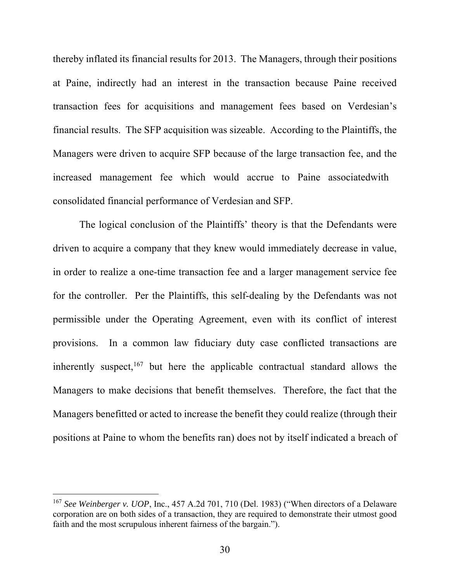thereby inflated its financial results for 2013. The Managers, through their positions at Paine, indirectly had an interest in the transaction because Paine received transaction fees for acquisitions and management fees based on Verdesian's financial results. The SFP acquisition was sizeable. According to the Plaintiffs, the Managers were driven to acquire SFP because of the large transaction fee, and the increased management fee which would accrue to Paine associatedwith consolidated financial performance of Verdesian and SFP.

The logical conclusion of the Plaintiffs' theory is that the Defendants were driven to acquire a company that they knew would immediately decrease in value, in order to realize a one-time transaction fee and a larger management service fee for the controller. Per the Plaintiffs, this self-dealing by the Defendants was not permissible under the Operating Agreement, even with its conflict of interest provisions. In a common law fiduciary duty case conflicted transactions are inherently suspect,  $167$  but here the applicable contractual standard allows the Managers to make decisions that benefit themselves. Therefore, the fact that the Managers benefitted or acted to increase the benefit they could realize (through their positions at Paine to whom the benefits ran) does not by itself indicated a breach of

<sup>&</sup>lt;sup>167</sup> See Weinberger v. UOP, Inc., 457 A.2d 701, 710 (Del. 1983) ("When directors of a Delaware corporation are on both sides of a transaction, they are required to demonstrate their utmost good faith and the most scrupulous inherent fairness of the bargain.").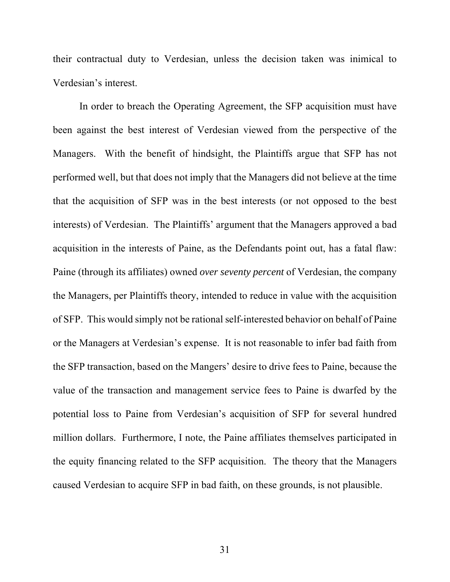their contractual duty to Verdesian, unless the decision taken was inimical to Verdesian's interest.

In order to breach the Operating Agreement, the SFP acquisition must have been against the best interest of Verdesian viewed from the perspective of the Managers. With the benefit of hindsight, the Plaintiffs argue that SFP has not performed well, but that does not imply that the Managers did not believe at the time that the acquisition of SFP was in the best interests (or not opposed to the best interests) of Verdesian. The Plaintiffs' argument that the Managers approved a bad acquisition in the interests of Paine, as the Defendants point out, has a fatal flaw: Paine (through its affiliates) owned *over seventy percent* of Verdesian, the company the Managers, per Plaintiffs theory, intended to reduce in value with the acquisition of SFP. This would simply not be rational self-interested behavior on behalf of Paine or the Managers at Verdesian's expense. It is not reasonable to infer bad faith from the SFP transaction, based on the Mangers' desire to drive fees to Paine, because the value of the transaction and management service fees to Paine is dwarfed by the potential loss to Paine from Verdesian's acquisition of SFP for several hundred million dollars. Furthermore, I note, the Paine affiliates themselves participated in the equity financing related to the SFP acquisition. The theory that the Managers caused Verdesian to acquire SFP in bad faith, on these grounds, is not plausible.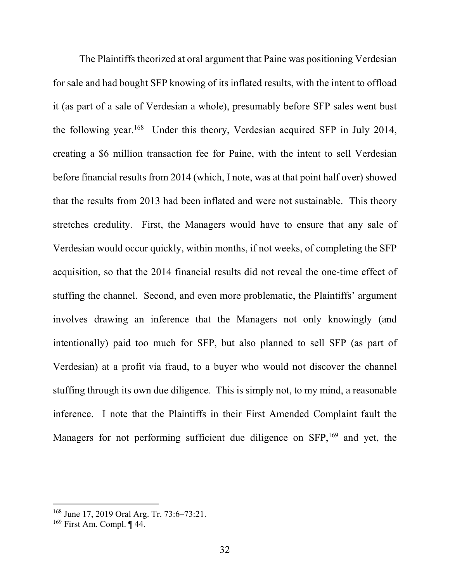The Plaintiffs theorized at oral argument that Paine was positioning Verdesian for sale and had bought SFP knowing of its inflated results, with the intent to offload it (as part of a sale of Verdesian a whole), presumably before SFP sales went bust the following year.<sup>168</sup> Under this theory, Verdesian acquired SFP in July 2014, creating a \$6 million transaction fee for Paine, with the intent to sell Verdesian before financial results from 2014 (which, I note, was at that point half over) showed that the results from 2013 had been inflated and were not sustainable. This theory stretches credulity. First, the Managers would have to ensure that any sale of Verdesian would occur quickly, within months, if not weeks, of completing the SFP acquisition, so that the 2014 financial results did not reveal the one-time effect of stuffing the channel. Second, and even more problematic, the Plaintiffs' argument involves drawing an inference that the Managers not only knowingly (and intentionally) paid too much for SFP, but also planned to sell SFP (as part of Verdesian) at a profit via fraud, to a buyer who would not discover the channel stuffing through its own due diligence. This is simply not, to my mind, a reasonable inference. I note that the Plaintiffs in their First Amended Complaint fault the Managers for not performing sufficient due diligence on SFP,<sup>169</sup> and yet, the

<sup>168</sup> June 17, 2019 Oral Arg. Tr. 73:6–73:21.

 $169$  First Am. Compl.  $\P$  44.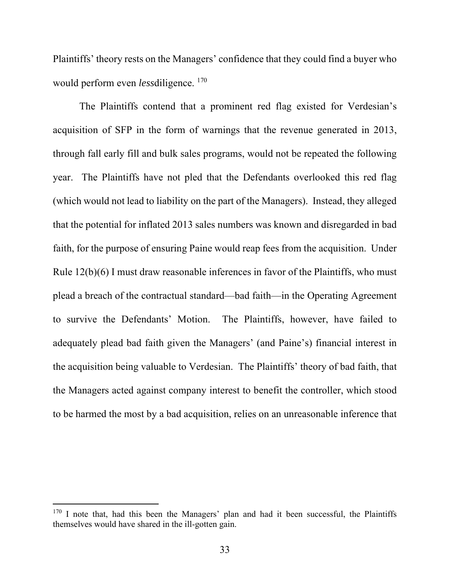Plaintiffs' theory rests on the Managers' confidence that they could find a buyer who would perform even *less*diligence. <sup>170</sup>

The Plaintiffs contend that a prominent red flag existed for Verdesian's acquisition of SFP in the form of warnings that the revenue generated in 2013, through fall early fill and bulk sales programs, would not be repeated the following year. The Plaintiffs have not pled that the Defendants overlooked this red flag (which would not lead to liability on the part of the Managers). Instead, they alleged that the potential for inflated 2013 sales numbers was known and disregarded in bad faith, for the purpose of ensuring Paine would reap fees from the acquisition. Under Rule 12(b)(6) I must draw reasonable inferences in favor of the Plaintiffs, who must plead a breach of the contractual standard—bad faith—in the Operating Agreement to survive the Defendants' Motion. The Plaintiffs, however, have failed to adequately plead bad faith given the Managers' (and Paine's) financial interest in the acquisition being valuable to Verdesian. The Plaintiffs' theory of bad faith, that the Managers acted against company interest to benefit the controller, which stood to be harmed the most by a bad acquisition, relies on an unreasonable inference that

 $170$  I note that, had this been the Managers' plan and had it been successful, the Plaintiffs themselves would have shared in the ill-gotten gain.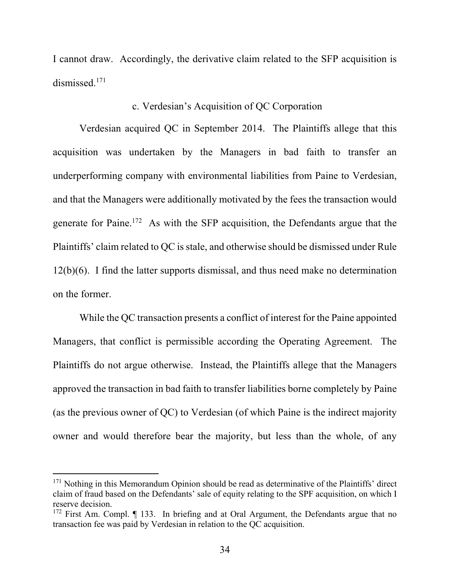I cannot draw. Accordingly, the derivative claim related to the SFP acquisition is dismissed.<sup>171</sup>

## c. Verdesian's Acquisition of QC Corporation

Verdesian acquired QC in September 2014. The Plaintiffs allege that this acquisition was undertaken by the Managers in bad faith to transfer an underperforming company with environmental liabilities from Paine to Verdesian, and that the Managers were additionally motivated by the fees the transaction would generate for Paine.<sup>172</sup> As with the SFP acquisition, the Defendants argue that the Plaintiffs' claim related to QC is stale, and otherwise should be dismissed under Rule 12(b)(6). I find the latter supports dismissal, and thus need make no determination on the former.

While the QC transaction presents a conflict of interest for the Paine appointed Managers, that conflict is permissible according the Operating Agreement. The Plaintiffs do not argue otherwise. Instead, the Plaintiffs allege that the Managers approved the transaction in bad faith to transfer liabilities borne completely by Paine (as the previous owner of QC) to Verdesian (of which Paine is the indirect majority owner and would therefore bear the majority, but less than the whole, of any

<sup>&</sup>lt;sup>171</sup> Nothing in this Memorandum Opinion should be read as determinative of the Plaintiffs' direct claim of fraud based on the Defendants' sale of equity relating to the SPF acquisition, on which I reserve decision.

<sup>&</sup>lt;sup>172</sup> First Am. Compl. ¶ 133. In briefing and at Oral Argument, the Defendants argue that no transaction fee was paid by Verdesian in relation to the QC acquisition.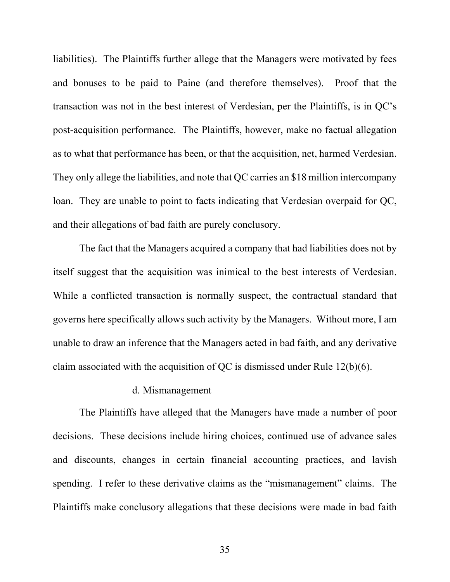liabilities). The Plaintiffs further allege that the Managers were motivated by fees and bonuses to be paid to Paine (and therefore themselves). Proof that the transaction was not in the best interest of Verdesian, per the Plaintiffs, is in QC's post-acquisition performance. The Plaintiffs, however, make no factual allegation as to what that performance has been, or that the acquisition, net, harmed Verdesian. They only allege the liabilities, and note that QC carries an \$18 million intercompany loan. They are unable to point to facts indicating that Verdesian overpaid for QC, and their allegations of bad faith are purely conclusory.

The fact that the Managers acquired a company that had liabilities does not by itself suggest that the acquisition was inimical to the best interests of Verdesian. While a conflicted transaction is normally suspect, the contractual standard that governs here specifically allows such activity by the Managers. Without more, I am unable to draw an inference that the Managers acted in bad faith, and any derivative claim associated with the acquisition of QC is dismissed under Rule 12(b)(6).

### d. Mismanagement

The Plaintiffs have alleged that the Managers have made a number of poor decisions. These decisions include hiring choices, continued use of advance sales and discounts, changes in certain financial accounting practices, and lavish spending. I refer to these derivative claims as the "mismanagement" claims. The Plaintiffs make conclusory allegations that these decisions were made in bad faith

35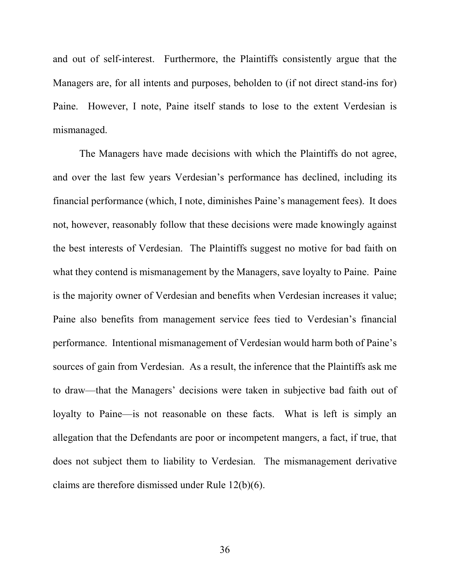and out of self-interest. Furthermore, the Plaintiffs consistently argue that the Managers are, for all intents and purposes, beholden to (if not direct stand-ins for) Paine. However, I note, Paine itself stands to lose to the extent Verdesian is mismanaged.

The Managers have made decisions with which the Plaintiffs do not agree, and over the last few years Verdesian's performance has declined, including its financial performance (which, I note, diminishes Paine's management fees). It does not, however, reasonably follow that these decisions were made knowingly against the best interests of Verdesian. The Plaintiffs suggest no motive for bad faith on what they contend is mismanagement by the Managers, save loyalty to Paine. Paine is the majority owner of Verdesian and benefits when Verdesian increases it value; Paine also benefits from management service fees tied to Verdesian's financial performance. Intentional mismanagement of Verdesian would harm both of Paine's sources of gain from Verdesian. As a result, the inference that the Plaintiffs ask me to draw—that the Managers' decisions were taken in subjective bad faith out of loyalty to Paine—is not reasonable on these facts. What is left is simply an allegation that the Defendants are poor or incompetent mangers, a fact, if true, that does not subject them to liability to Verdesian. The mismanagement derivative claims are therefore dismissed under Rule 12(b)(6).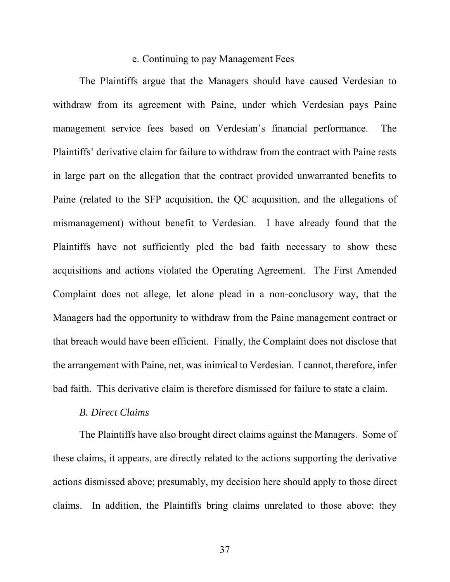#### e. Continuing to pay Management Fees

The Plaintiffs argue that the Managers should have caused Verdesian to withdraw from its agreement with Paine, under which Verdesian pays Paine management service fees based on Verdesian's financial performance. The Plaintiffs' derivative claim for failure to withdraw from the contract with Paine rests in large part on the allegation that the contract provided unwarranted benefits to Paine (related to the SFP acquisition, the QC acquisition, and the allegations of mismanagement) without benefit to Verdesian. I have already found that the Plaintiffs have not sufficiently pled the bad faith necessary to show these acquisitions and actions violated the Operating Agreement. The First Amended Complaint does not allege, let alone plead in a non-conclusory way, that the Managers had the opportunity to withdraw from the Paine management contract or that breach would have been efficient. Finally, the Complaint does not disclose that the arrangement with Paine, net, was inimical to Verdesian. I cannot, therefore, infer bad faith. This derivative claim is therefore dismissed for failure to state a claim.

#### *B. Direct Claims*

The Plaintiffs have also brought direct claims against the Managers. Some of these claims, it appears, are directly related to the actions supporting the derivative actions dismissed above; presumably, my decision here should apply to those direct claims. In addition, the Plaintiffs bring claims unrelated to those above: they

37